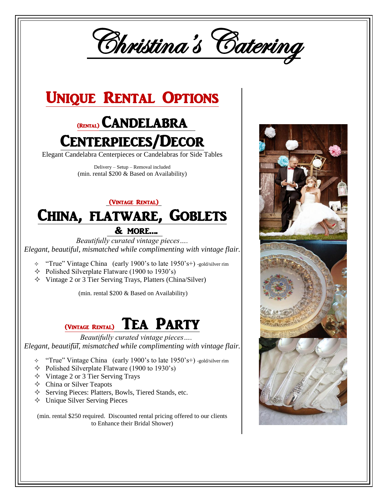

## Unique Rental Options

# (Rental) Candelabra Centerpieces/Decor

Elegant Candelabra Centerpieces or Candelabras for Side Tables

Delivery – Setup – Removal included (min. rental \$200 & Based on Availability)

#### (Vintage Rental)

### China, flatware, Goblets

 & more…. *Beautifully curated vintage pieces…. Elegant, beautiful, mismatched while complimenting with vintage flair.*

- $\div$  "True" Vintage China (early 1900's to late 1950's+) -gold/silver rim
- $\Diamond$  Polished Silverplate Flatware (1900 to 1930's)
- $\Diamond$  Vintage 2 or 3 Tier Serving Trays, Platters (China/Silver)

(min. rental \$200 & Based on Availability)

### (VINTAGE RENTAL) TEA PARTY

 *Beautifully curated vintage pieces…. Elegant, beautiful, mismatched while complimenting with vintage flair.*

- $\div$  "True" Vintage China (early 1900's to late 1950's+) -gold/silver rim
- $\Diamond$  Polished Silverplate Flatware (1900 to 1930's)
- $\Diamond$  Vintage 2 or 3 Tier Serving Trays
- $\Diamond$  China or Silver Teapots
- $\Diamond$  Serving Pieces: Platters, Bowls, Tiered Stands, etc.
- $\Diamond$  Unique Silver Serving Pieces

(min. rental \$250 required. Discounted rental pricing offered to our clients to Enhance their Bridal Shower)